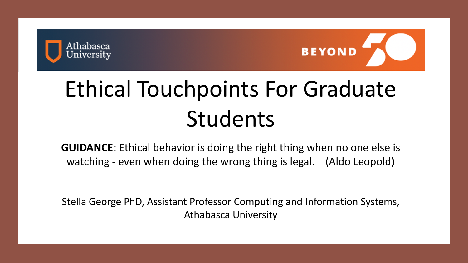

## Ethical Touchpoints For Graduate Students

**GUIDANCE**: Ethical behavior is doing the right thing when no one else is watching - even when doing the wrong thing is legal. (Aldo Leopold)

Stella George PhD, Assistant Professor Computing and Information Systems, Athabasca University

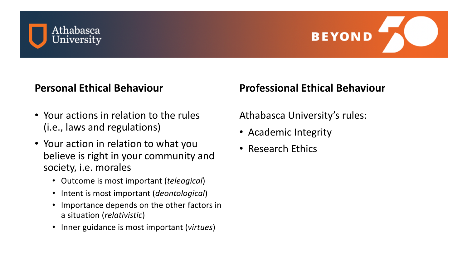

#### **Personal Ethical Behaviour**

- Your actions in relation to the rules (i.e., laws and regulations)
- Your action in relation to what you believe is right in your community and society, i.e. morales
	- Outcome is most important (*teleogical*)
	- Intent is most important (*deontological*)
	- Importance depends on the other factors in a situation (*relativistic*)
	- Inner guidance is most important (*virtues*)

### **Professional Ethical Behaviour**

Athabasca University's rules:

- Academic Integrity
- Research Ethics

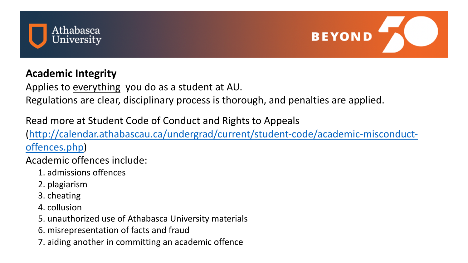

#### **Academic Integrity**

Applies to everything you do as a student Regulations are clear, disciplinary process

Read more at Student Code of Conduct and Read more at Student Code of Conduct (http://calendar.athabascau.ca/undergrad offences.php)

Academic offences include:

- 1. admissions offences
- 2. plagiarism
- 3. cheating
- 4. collusion
- 5. unauthorized use of Athabasca University
- 6. misrepresentation of facts and fraud
- 7. aiding another in committing an academic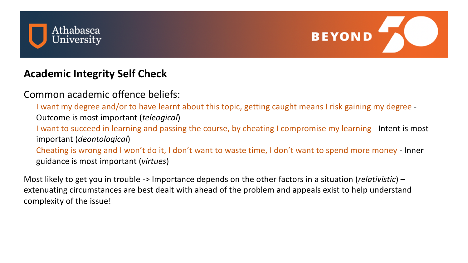

#### **Academic Integrity Self Check**

Common academic offence beliefs:

I want my degree and/or to have learnt about this topic, getting caught means I risk gaining my degree - Outcome is most important (*teleogical*) I want to succeed in learning and passing the course, by cheating I compromise my learning - Intent is most important (*deontological*) Cheating is wrong and I won't do it, I don't want to waste time, I don't want to spend more money - Inner guidance is most important (*virtues*)

Most likely to get you in trouble -> Importance depends on the other factors in a situation (*relativistic*) – extenuating circumstances are best dealt with ahead of the problem and appeals exist to help understand complexity of the issue!



- 
- 
- 
-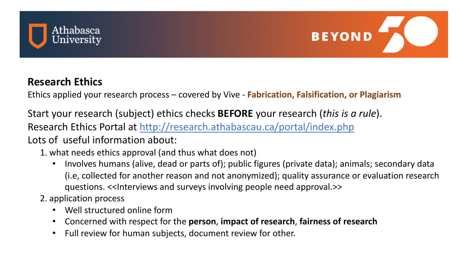# Athabasca<br>University

#### **Research Ethics**

Ethics applied your research process - covered

Start your research (subject) ethics check Research Ethics Portal at http://research. Lots of useful information about:

1. what needs ethics approval (and thus what

- Involves humans (alive, dead or parts (i.e, collected for another reason and questions. << Interviews and surveys i
- 2. application process
	- Well structured online form
	- **Concerned with respect for the perso**
	- Full review for human subjects, docur